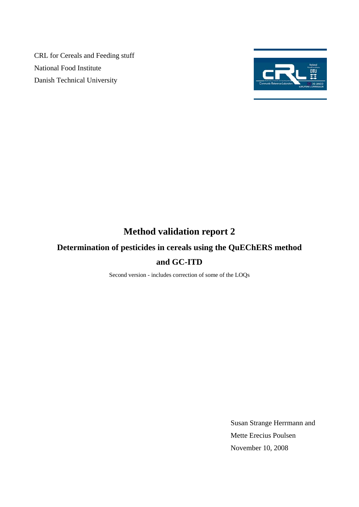CRL for Cereals and Feeding stuff National Food Institute Danish Technical University



## **Method validation report 2**

# **Determination of pesticides in cereals using the QuEChERS method and GC-ITD**

Second version - includes correction of some of the LOQs

Susan Strange Herrmann and Mette Erecius Poulsen November 10, 2008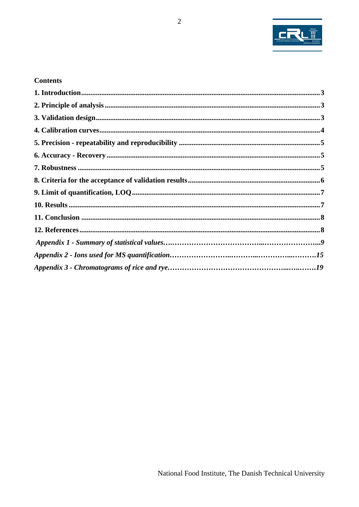

#### **Contents**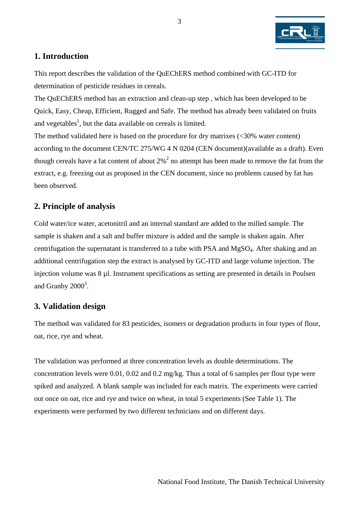

## <span id="page-2-0"></span>**1. Introduction**

This report describes the validation of the QuEChERS method combined with GC-ITD for determination of pesticide residues in cereals.

The QuEChERS method has an extraction and clean-up step , which has been developed to be Quick, Easy, Cheap, Efficient, Rugged and Safe. The method has already been validated on fruits and vegetables<sup>1</sup>, but the data available on cereals is limited.

The method validated here is based on the procedure for dry matrixes  $\langle$  <30% water content) according to the document CEN/TC 275/WG 4 N 0204 (CEN document)(available as a draft). Even though cereals have a fat content of about  $2\%^2$  no attempt has been made to remove the fat from the extract, e.g. freezing out as proposed in the CEN document, since no problems caused by fat has been observed.

## **2. Principle of analysis**

Cold water/ice water, acetonitril and an internal standard are added to the milled sample. The sample is shaken and a salt and buffer mixture is added and the sample is shaken again. After centrifugation the supernatant is transferred to a tube with PSA and MgSO4. After shaking and an additional centrifugation step the extract is analysed by GC-ITD and large volume injection. The injection volume was 8 µl. Instrument specifications as setting are presented in details in Poulsen and Granby  $2000^3$ .

#### **3. Validation design**

The method was validated for 83 pesticides, isomers or degradation products in four types of flour, oat, rice, rye and wheat.

The validation was performed at three concentration levels as double determinations. The concentration levels were 0.01, 0.02 and 0.2 mg/kg. Thus a total of 6 samples per flour type were spiked and analyzed. A blank sample was included for each matrix. The experiments were carried out once on oat, rice and rye and twice on wheat, in total 5 experiments (See Table 1). The experiments were performed by two different technicians and on different days.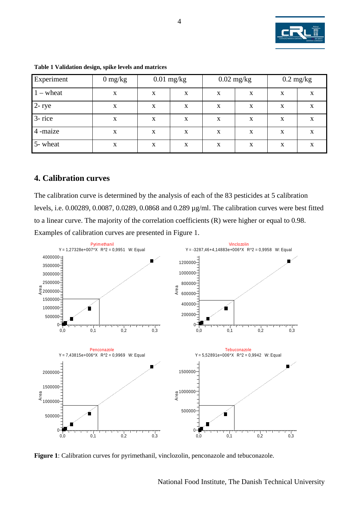

| Experiment  | $0 \frac{\text{mg}}{\text{kg}}$ | $0.01$ mg/kg |   | $0.02 \text{ mg/kg}$ |   | $0.2 \text{ mg/kg}$ |   |
|-------------|---------------------------------|--------------|---|----------------------|---|---------------------|---|
| $1 -$ wheat | X                               | X            | X | X                    | X | X                   | X |
| $2$ -rye    | X                               | X            | X | X                    | X | X                   | X |
| 3-rice      | X                               | X            | X | X                    | X | X                   | X |
| 4 -maize    | X                               | X            | X | X                    | X | X                   | X |
| 5- wheat    | X                               | X            | X | X                    | X | X                   | X |

<span id="page-3-0"></span>**Table 1 Validation design, spike levels and matrices** 

#### **4. Calibration curves**

The calibration curve is determined by the analysis of each of the 83 pesticides at 5 calibration levels, i.e. 0.00289, 0.0087, 0.0289, 0.0868 and 0.289 µg/ml. The calibration curves were best fitted to a linear curve. The majority of the correlation coefficients (R) were higher or equal to 0.98. Examples of calibration curves are presented in Figure 1.



**Figure 1**: Calibration curves for pyrimethanil, vinclozolin, penconazole and tebuconazole.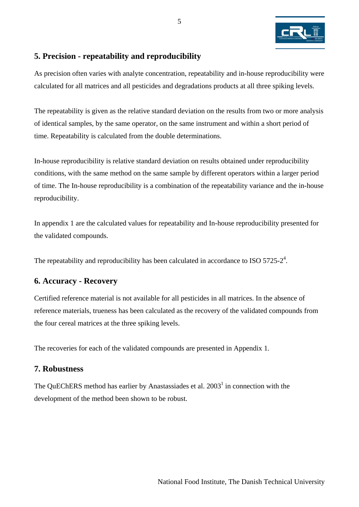

## <span id="page-4-0"></span>**5. Precision - repeatability and reproducibility**

As precision often varies with analyte concentration, repeatability and in-house reproducibility were calculated for all matrices and all pesticides and degradations products at all three spiking levels.

The repeatability is given as the relative standard deviation on the results from two or more analysis of identical samples, by the same operator, on the same instrument and within a short period of time. Repeatability is calculated from the double determinations.

In-house reproducibility is relative standard deviation on results obtained under reproducibility conditions, with the same method on the same sample by different operators within a larger period of time. The In-house reproducibility is a combination of the repeatability variance and the in-house reproducibility.

In appendix 1 are the calculated values for repeatability and In-house reproducibility presented for the validated compounds.

The repeatability and reproducibility has been calculated in accordance to ISO 5725-2<sup>4</sup>.

#### **6. Accuracy - Recovery**

Certified reference material is not available for all pesticides in all matrices. In the absence of reference materials, trueness has been calculated as the recovery of the validated compounds from the four cereal matrices at the three spiking levels.

The recoveries for each of the validated compounds are presented in Appendix 1.

#### **7. Robustness**

The QuEChERS method has earlier by Anastassiades et al.  $2003<sup>1</sup>$  in connection with the development of the method been shown to be robust.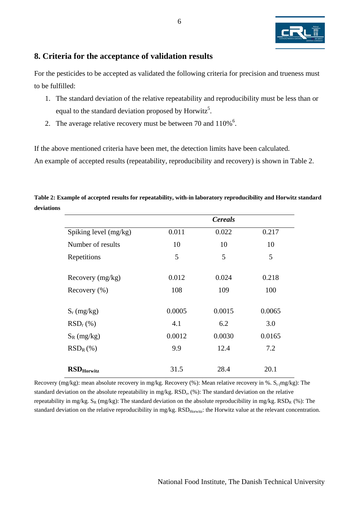

#### <span id="page-5-0"></span>**8. Criteria for the acceptance of validation results**

For the pesticides to be accepted as validated the following criteria for precision and trueness must to be fulfilled:

- 1. The standard deviation of the relative repeatability and reproducibility must be less than or equal to the standard deviation proposed by Horwitz<sup>5</sup>.
- 2. The average relative recovery must be between 70 and  $110\%$ <sup>6</sup>.

If the above mentioned criteria have been met, the detection limits have been calculated. An example of accepted results (repeatability, reproducibility and recovery) is shown in Table 2.

**Table 2: Example of accepted results for repeatability, with-in laboratory reproducibility and Horwitz standard deviations** 

|                       | <b>Cereals</b> |        |        |  |  |
|-----------------------|----------------|--------|--------|--|--|
| Spiking level (mg/kg) | 0.011          | 0.022  | 0.217  |  |  |
| Number of results     | 10             | 10     | 10     |  |  |
| Repetitions           | 5              | 5      | 5      |  |  |
| Recovery (mg/kg)      | 0.012          | 0.024  | 0.218  |  |  |
| Recovery $(\% )$      | 108            | 109    | 100    |  |  |
| $S_r$ (mg/kg)         | 0.0005         | 0.0015 | 0.0065 |  |  |
| $RSD_r$ (%)           | 4.1            | 6.2    | 3.0    |  |  |
| $S_R$ (mg/kg)         | 0.0012         | 0.0030 | 0.0165 |  |  |
| $RSD_R$ (%)           | 9.9            | 12.4   | 7.2    |  |  |
| <b>RSD</b> Horwitz    | 31.5           | 28.4   | 20.1   |  |  |

Recovery (mg/kg): mean absolute recovery in mg/kg. Recovery (%): Mean relative recovery in %.  $S_r$  (mg/kg): The standard deviation on the absolute repeatability in mg/kg.  $RSD_r$ , (%): The standard deviation on the relative repeatability in mg/kg.  $S_R$  (mg/kg): The standard deviation on the absolute reproducibility in mg/kg.  $RSD_R$  (%): The standard deviation on the relative reproducibility in mg/kg. RSD<sub>Horwitz</sub>: the Horwitz value at the relevant concentration.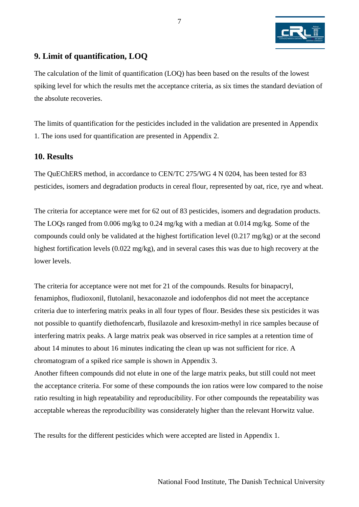

## <span id="page-6-0"></span>**9. Limit of quantification, LOQ**

The calculation of the limit of quantification (LOQ) has been based on the results of the lowest spiking level for which the results met the acceptance criteria, as six times the standard deviation of the absolute recoveries.

The limits of quantification for the pesticides included in the validation are presented in Appendix 1. The ions used for quantification are presented in Appendix 2.

#### **10. Results**

The QuEChERS method, in accordance to CEN/TC 275/WG 4 N 0204, has been tested for 83 pesticides, isomers and degradation products in cereal flour, represented by oat, rice, rye and wheat.

The criteria for acceptance were met for 62 out of 83 pesticides, isomers and degradation products. The LOQs ranged from 0.006 mg/kg to 0.24 mg/kg with a median at 0.014 mg/kg. Some of the compounds could only be validated at the highest fortification level (0.217 mg/kg) or at the second highest fortification levels (0.022 mg/kg), and in several cases this was due to high recovery at the lower levels.

The criteria for acceptance were not met for 21 of the compounds. Results for binapacryl, fenamiphos, fludioxonil, flutolanil, hexaconazole and iodofenphos did not meet the acceptance criteria due to interfering matrix peaks in all four types of flour. Besides these six pesticides it was not possible to quantify diethofencarb, flusilazole and kresoxim-methyl in rice samples because of interfering matrix peaks. A large matrix peak was observed in rice samples at a retention time of about 14 minutes to about 16 minutes indicating the clean up was not sufficient for rice. A chromatogram of a spiked rice sample is shown in Appendix 3.

Another fifteen compounds did not elute in one of the large matrix peaks, but still could not meet the acceptance criteria. For some of these compounds the ion ratios were low compared to the noise ratio resulting in high repeatability and reproducibility. For other compounds the repeatability was acceptable whereas the reproducibility was considerately higher than the relevant Horwitz value.

The results for the different pesticides which were accepted are listed in Appendix 1.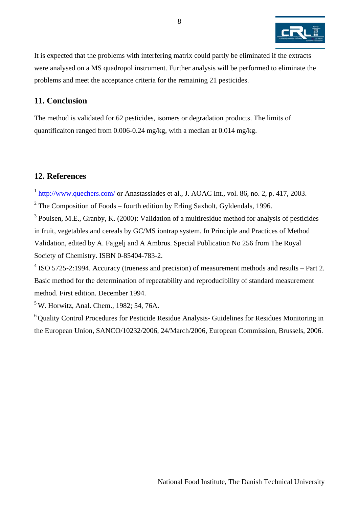

<span id="page-7-0"></span>It is expected that the problems with interfering matrix could partly be eliminated if the extracts were analysed on a MS quadropol instrument. Further analysis will be performed to eliminate the problems and meet the acceptance criteria for the remaining 21 pesticides.

#### **11. Conclusion**

The method is validated for 62 pesticides, isomers or degradation products. The limits of quantificaiton ranged from 0.006-0.24 mg/kg, with a median at 0.014 mg/kg.

#### **12. References**

<sup>1</sup> <http://www.quechers.com/>or Anastassiades et al., J. AOAC Int., vol. 86, no. 2, p. 417, 2003.

<sup>2</sup> The Composition of Foods – fourth edition by Erling Saxholt, Gyldendals, 1996.

 $3$  Poulsen, M.E., Granby, K. (2000): Validation of a multiresidue method for analysis of pesticides in fruit, vegetables and cereals by GC/MS iontrap system. In Principle and Practices of Method Validation, edited by A. Fajgelj and A Ambrus. Special Publication No 256 from The Royal Society of Chemistry. ISBN 0-85404-783-2.

 $4$  ISO 5725-2:1994. Accuracy (trueness and precision) of measurement methods and results – Part 2. Basic method for the determination of repeatability and reproducibility of standard measurement method. First edition. December 1994.

 $5$  W. Horwitz, Anal. Chem., 1982; 54, 76A.

6 Quality Control Procedures for Pesticide Residue Analysis- Guidelines for Residues Monitoring in the European Union, SANCO/10232/2006, 24/March/2006, European Commission, Brussels, 2006.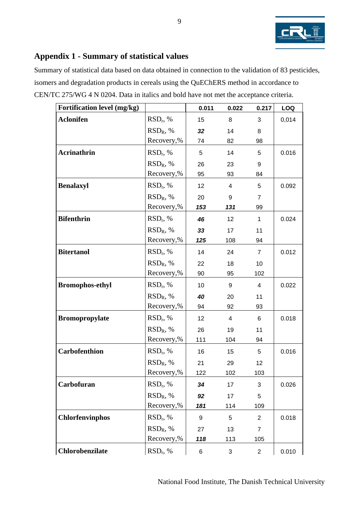

## **Appendix 1 - Summary of statistical values**

Summary of statistical data based on data obtained in connection to the validation of 83 pesticides, isomers and degradation products in cereals using the QuEChERS method in accordance to CEN/TC 275/WG 4 N 0204. Data in italics and bold have not met the acceptance criteria.

| Fortification level (mg/kg) |             | 0.011 | 0.022          | 0.217          | LOQ   |
|-----------------------------|-------------|-------|----------------|----------------|-------|
| <b>Aclonifen</b>            | $RSD_r$ , % | 15    | 8              | 3              | 0,014 |
|                             | $RSD_R$ , % | 32    | 14             | 8              |       |
|                             | Recovery,%  | 74    | 82             | 98             |       |
| <b>Acrinathrin</b>          | $RSD_r$ , % | 5     | 14             | 5              | 0.016 |
|                             | $RSD_R$ , % | 26    | 23             | 9              |       |
|                             | Recovery,%  | 95    | 93             | 84             |       |
| <b>Benalaxyl</b>            | $RSD_r$ , % | 12    | $\overline{4}$ | 5              | 0.092 |
|                             | $RSD_R$ , % | 20    | 9              | $\overline{7}$ |       |
|                             | Recovery,%  | 153   | 131            | 99             |       |
| <b>Bifenthrin</b>           | $RSD_r$ , % | 46    | 12             | $\mathbf{1}$   | 0.024 |
|                             | $RSD_R$ , % | 33    | 17             | 11             |       |
|                             | Recovery,%  | 125   | 108            | 94             |       |
| <b>Bitertanol</b>           | $RSD_r$ , % | 14    | 24             | $\overline{7}$ | 0.012 |
|                             | $RSD_R$ , % | 22    | 18             | 10             |       |
|                             | Recovery,%  | 90    | 95             | 102            |       |
| <b>Bromophos-ethyl</b>      | $RSD_r$ , % | 10    | 9              | $\overline{4}$ | 0.022 |
|                             | $RSD_R$ , % | 40    | 20             | 11             |       |
|                             | Recovery,%  | 94    | 92             | 93             |       |
| <b>Bromopropylate</b>       | $RSD_r$ , % | 12    | $\overline{4}$ | 6              | 0.018 |
|                             | $RSD_R$ , % | 26    | 19             | 11             |       |
|                             | Recovery,%  | 111   | 104            | 94             |       |
| Carbofenthion               | $RSD_r$ , % | 16    | 15             | 5              | 0.016 |
|                             | $RSD_R$ , % | 21    | 29             | 12             |       |
|                             | Recovery,%  | 122   | 102            | 103            |       |
| Carbofuran                  | $RSD_r$ , % | 34    | 17             | 3              | 0.026 |
|                             | $RSD_R$ , % | 92    | 17             | 5              |       |
|                             | Recovery,%  | 181   | 114            | 109            |       |
| <b>Chlorfenvinphos</b>      | $RSD_r$ , % | 9     | 5              | $\overline{2}$ | 0.018 |
|                             | $RSD_R$ , % | 27    | 13             | $\overline{7}$ |       |
|                             | Recovery,%  | 118   | 113            | 105            |       |
| Chlorobenzilate             | $RSD_r$ , % | 6     | 3              | $\overline{c}$ | 0.010 |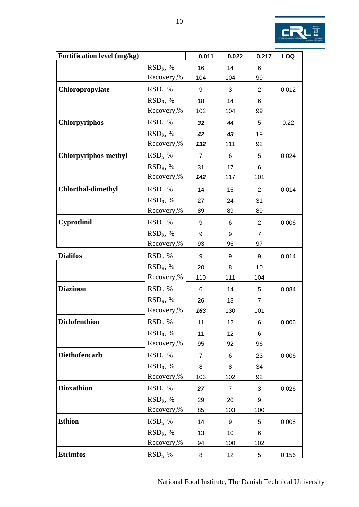

| Fortification level (mg/kg) |                      | 0.011          | 0.022          | 0.217          | <b>LOQ</b> |
|-----------------------------|----------------------|----------------|----------------|----------------|------------|
|                             | $RSD_R$ , %          | 16             | 14             | 6              |            |
|                             | Recovery,%           | 104            | 104            | 99             |            |
| Chloropropylate             | $RSD_r$ , %          | 9              | 3              | $\overline{2}$ | 0.012      |
|                             | $RSD_R$ , %          | 18             | 14             | 6              |            |
|                             | Recovery,%           | 102            | 104            | 99             |            |
| <b>Chlorpyriphos</b>        | $RSD_r$ , %          | 32             | 44             | 5              | 0.22       |
|                             | $RSD_R$ , %          | 42             | 43             | 19             |            |
|                             | Recovery,%           | 132            | 111            | 92             |            |
| <b>Chlorpyriphos-methyl</b> | $RSD_r$ , %          | $\overline{7}$ | 6              | 5              | 0.024      |
|                             | $RSD_R$ , %          | 31             | 17             | 6              |            |
|                             | Recovery,%           | 142            | 117            | 101            |            |
| <b>Chlorthal-dimethyl</b>   | $RSD_r$ , %          | 14             | 16             | $\overline{2}$ | 0.014      |
|                             | $RSD_R$ , %          | 27             | 24             | 31             |            |
|                             | Recovery,%           | 89             | 89             | 89             |            |
| <b>Cyprodinil</b>           | $RSD_r$ , %          | 9              | 6              | $\overline{2}$ | 0.006      |
|                             | $RSD_R$ , %          | 9              | 9              | $\overline{7}$ |            |
|                             | Recovery,%           | 93             | 96             | 97             |            |
| <b>Dialifos</b>             | $RSD_r$ , %          | 9              | 9              | 9              | 0.014      |
|                             | $RSD_R$ , %          | 20             | 8              | 10             |            |
|                             | Recovery,%           | 110            | 111            | 104            |            |
| <b>Diazinon</b>             | $RSD_r$ , %          | 6              | 14             | 5              | 0.084      |
|                             | $RSD_R$ , %          | 26             | 18             | $\overline{7}$ |            |
|                             | Recovery,%           | 163            | 130            | 101            |            |
| Diclofenthion               | $RSD_r$ , %          | 11             | 12             | 6              | 0.006      |
|                             | $RSD_R$ , %          | 11             | 12             | 6              |            |
|                             | Recovery,%           | 95             | 92             | 96             |            |
| Diethofencarb               | $RSD_r$ , %          | $\overline{7}$ | 6              | 23             | 0.006      |
|                             | $RSD_R$ , %          | 8              | 8              | 34             |            |
|                             | Recovery,%           | 103            | 102            | 92             |            |
| <b>Dioxathion</b>           | $RSD_r$ , %          | 27             | $\overline{7}$ | 3              | 0.026      |
|                             | $RSD_R$ , %          | 29             | 20             | 9              |            |
|                             | Recovery,%           | 85             | 103            | 100            |            |
| <b>Ethion</b>               | $RSD_r$ , %          | 14             | 9              | 5              | 0.008      |
|                             | $RSD_R$ , %          | 13             | 10             | 6              |            |
|                             | Recovery,%           | 94             | 100            | 102            |            |
| <b>Etrimfos</b>             | RSD <sub>r</sub> , % | 8              | 12             | 5              | 0.156      |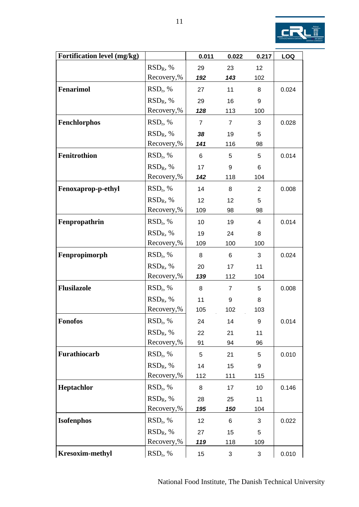

| Fortification level (mg/kg) |                      | 0.011          | 0.022            | 0.217                   | <b>LOQ</b> |
|-----------------------------|----------------------|----------------|------------------|-------------------------|------------|
|                             | $RSD_R$ , %          | 29             | 23               | 12                      |            |
|                             | Recovery,%           | 192            | 143              | 102                     |            |
| <b>Fenarimol</b>            | $RSD_r$ , %          | 27             | 11               | 8                       | 0.024      |
|                             | $RSD_R$ , %          | 29             | 16               | 9                       |            |
|                             | Recovery,%           | 128            | 113              | 100                     |            |
| Fenchlorphos                | $RSD_r$ , %          | $\overline{7}$ | $\overline{7}$   | 3                       | 0.028      |
|                             | $RSD_R$ , %          | 38             | 19               | 5                       |            |
|                             | Recovery,%           | 141            | 116              | 98                      |            |
| Fenitrothion                | $RSD_r$ , %          | 6              | 5                | 5                       | 0.014      |
|                             | $RSD_R$ , %          | 17             | $\boldsymbol{9}$ | 6                       |            |
|                             | Recovery,%           | 142            | 118              | 104                     |            |
| Fenoxaprop-p-ethyl          | $RSD_r$ , %          | 14             | 8                | $\overline{2}$          | 0.008      |
|                             | $RSD_R$ , %          | 12             | 12               | 5                       |            |
|                             | Recovery,%           | 109            | 98               | 98                      |            |
| Fenpropathrin               | $RSD_r$ , %          | 10             | 19               | $\overline{\mathbf{4}}$ | 0.014      |
|                             | $RSD_R$ , %          | 19             | 24               | 8                       |            |
|                             | Recovery,%           | 109            | 100              | 100                     |            |
| Fenpropimorph               | $RSD_r$ , %          | 8              | 6                | 3                       | 0.024      |
|                             | $RSD_R$ , %          | 20             | 17               | 11                      |            |
|                             | Recovery,%           | 139            | 112              | 104                     |            |
| <b>Flusilazole</b>          | $RSD_r$ , %          | 8              | $\overline{7}$   | 5                       | 0.008      |
|                             | $RSD_R$ , %          | 11             | 9                | 8                       |            |
|                             | Recovery,%           | 105            | 102              | 103                     |            |
| <b>Fonofos</b>              | RSD <sub>r</sub> , % | 24             | 14               | 9                       | 0.014      |
|                             | $RSD_R$ , %          | 22             | 21               | 11                      |            |
|                             | Recovery,%           | 91             | 94               | 96                      |            |
| Furathiocarb                | $RSD_r$ , %          | 5              | 21               | 5                       | 0.010      |
|                             | $RSD_R$ , %          | 14             | 15               | 9                       |            |
|                             | Recovery,%           | 112            | 111              | 115                     |            |
| Heptachlor                  | $RSD_r$ , %          | 8              | 17               | 10                      | 0.146      |
|                             | $RSD_R$ , %          | 28             | 25               | 11                      |            |
|                             | Recovery,%           | 195            | 150              | 104                     |            |
| <b>Isofenphos</b>           | $RSD_r$ , %          | 12             | 6                | 3                       | 0.022      |
|                             | $RSD_R$ , %          | 27             | 15               | 5                       |            |
|                             | Recovery,%           | 119            | 118              | 109                     |            |
| Kresoxim-methyl             | $RSD_r$ , %          | 15             | 3                | 3                       | 0.010      |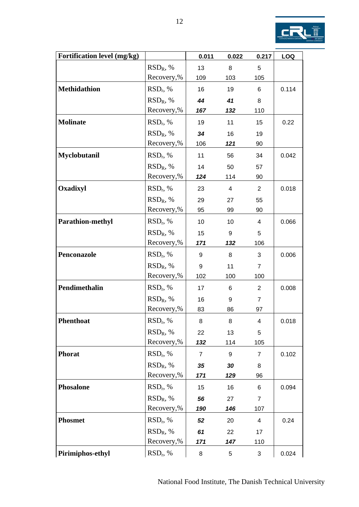

| Fortification level (mg/kg) |                      | 0.011          | 0.022          | 0.217                   | <b>LOQ</b> |
|-----------------------------|----------------------|----------------|----------------|-------------------------|------------|
|                             | $RSD_R$ , %          | 13             | 8              | 5                       |            |
|                             | Recovery,%           | 109            | 103            | 105                     |            |
| <b>Methidathion</b>         | $RSD_r$ , %          | 16             | 19             | 6                       | 0.114      |
|                             | $RSD_R$ , %          | 44             | 41             | 8                       |            |
|                             | Recovery,%           | 167            | 132            | 110                     |            |
| <b>Molinate</b>             | $RSD_r$ , %          | 19             | 11             | 15                      | 0.22       |
|                             | $RSD_R$ , %          | 34             | 16             | 19                      |            |
|                             | Recovery,%           | 106            | 121            | 90                      |            |
| Myclobutanil                | $RSD_r$ , %          | 11             | 56             | 34                      | 0.042      |
|                             | $RSD_R$ , %          | 14             | 50             | 57                      |            |
|                             | Recovery,%           | 124            | 114            | 90                      |            |
| Oxadixyl                    | $RSD_r$ , %          | 23             | $\overline{4}$ | $\overline{2}$          | 0.018      |
|                             | $RSD_R$ , %          | 29             | 27             | 55                      |            |
|                             | Recovery,%           | 95             | 99             | 90                      |            |
| <b>Parathion-methyl</b>     | $RSD_r$ , %          | 10             | 10             | $\overline{\mathbf{4}}$ | 0.066      |
|                             | $RSD_R$ , %          | 15             | 9              | 5                       |            |
|                             | Recovery,%           | 171            | 132            | 106                     |            |
| Penconazole                 | $RSD_r$ , %          | 9              | 8              | 3                       | 0.006      |
|                             | $RSD_R$ , %          | 9              | 11             | $\overline{7}$          |            |
|                             | Recovery,%           | 102            | 100            | 100                     |            |
| Pendimethalin               | $RSD_r$ , %          | 17             | 6              | $\overline{2}$          | 0.008      |
|                             | $RSD_R$ , %          | 16             | 9              | $\overline{7}$          |            |
|                             | Recovery,%           | 83             | 86             | 97                      |            |
| Phenthoat                   | RSD <sub>r</sub> , % | 8              | 8              | 4                       | 0.018      |
|                             | $RSD_R$ , %          | 22             | 13             | 5                       |            |
|                             | Recovery,%           | 132            | 114            | 105                     |            |
| <b>Phorat</b>               | $RSD_r$ , %          | $\overline{7}$ | 9              | 7                       | 0.102      |
|                             | $RSD_R$ , %          | 35             | 30             | 8                       |            |
|                             | Recovery,%           | 171            | 129            | 96                      |            |
| <b>Phosalone</b>            | $RSD_r$ , %          | 15             | 16             | 6                       | 0.094      |
|                             | $RSD_R$ , %          | 56             | 27             | $\overline{7}$          |            |
|                             | Recovery,%           | 190            | 146            | 107                     |            |
| <b>Phosmet</b>              | $RSD_r$ , %          | 52             | 20             | $\overline{\mathbf{4}}$ | 0.24       |
|                             | $RSD_R$ , %          | 61             | 22             | 17                      |            |
|                             | Recovery,%           | 171            | 147            | 110                     |            |
| Pirimiphos-ethyl            | $RSD_r$ , %          | 8              | 5              | 3                       | 0.024      |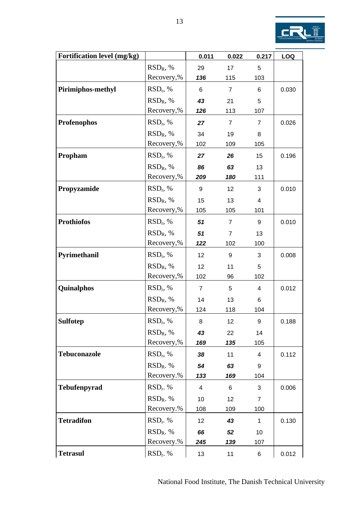

| Fortification level (mg/kg) |                   | 0.011                   | 0.022          | 0.217                   | <b>LOQ</b> |
|-----------------------------|-------------------|-------------------------|----------------|-------------------------|------------|
|                             | $RSD_R$ , %       | 29                      | 17             | 5                       |            |
|                             | Recovery,%        | 136                     | 115            | 103                     |            |
| Pirimiphos-methyl           | $RSD_r$ , %       | 6                       | $\overline{7}$ | 6                       | 0.030      |
|                             | $RSD_R$ , %       | 43                      | 21             | 5                       |            |
|                             | Recovery,%        | 126                     | 113            | 107                     |            |
| <b>Profenophos</b>          | $RSD_r$ , %       | 27                      | $\overline{7}$ | $\overline{7}$          | 0.026      |
|                             | $RSD_R$ , %       | 34                      | 19             | 8                       |            |
|                             | Recovery,%        | 102                     | 109            | 105                     |            |
| Propham                     | $RSD_r$ , %       | 27                      | 26             | 15                      | 0.196      |
|                             | $RSD_R$ , %       | 86                      | 63             | 13                      |            |
|                             | Recovery,%        | 209                     | 180            | 111                     |            |
| Propyzamide                 | $RSD_r$ , %       | 9                       | 12             | 3                       | 0.010      |
|                             | $RSD_R$ , %       | 15                      | 13             | $\overline{4}$          |            |
|                             | Recovery,%        | 105                     | 105            | 101                     |            |
| <b>Prothiofos</b>           | $RSD_r$ , %       | 51                      | $\overline{7}$ | 9                       | 0.010      |
|                             | $RSD_R$ , %       | 51                      | $\overline{7}$ | 13                      |            |
|                             | Recovery,%        | 122                     | 102            | 100                     |            |
| Pyrimethanil                | $RSD_r$ , %       | 12 <sup>2</sup>         | 9              | 3                       | 0.008      |
|                             | $RSD_R$ , %       | 12                      | 11             | 5                       |            |
|                             | Recovery,%        | 102                     | 96             | 102                     |            |
| Quinalphos                  | $RSD_r$ , %       | $\overline{7}$          | 5              | $\overline{4}$          | 0.012      |
|                             | $RSD_R$ , %       | 14                      | 13             | 6                       |            |
|                             | Recovery,%        | 124                     | 118            | 104                     |            |
| <b>Sulfotep</b>             | $\text{RSD}_r,$ % | 8                       | 12             | 9                       | 0.188      |
|                             | $RSD_R$ , %       | 43                      | 22             | 14                      |            |
|                             | Recovery,%        | 169                     | 135            | 105                     |            |
| <b>Tebuconazole</b>         | $RSD_r$ , %       | 38                      | 11             | $\overline{\mathbf{4}}$ | 0.112      |
|                             | $RSD_R$ . %       | 54                      | 63             | 9                       |            |
|                             | Recovery.%        | 133                     | 169            | 104                     |            |
| Tebufenpyrad                | $RSD_r$ . %       | $\overline{\mathbf{4}}$ | 6              | 3                       | 0.006      |
|                             | $RSD_R$ . %       | 10                      | 12             | $\overline{7}$          |            |
|                             | Recovery.%        | 108                     | 109            | 100                     |            |
| <b>Tetradifon</b>           | $RSD_r$ . %       | 12                      | 43             | $\mathbf{1}$            | 0.130      |
|                             | $RSD_R$ . %       | 66                      | 52             | 10                      |            |
|                             | Recovery.%        | 245                     | 139            | 107                     |            |
| <b>Tetrasul</b>             | $RSD_r$ . %       | 13                      | 11             | 6                       | 0.012      |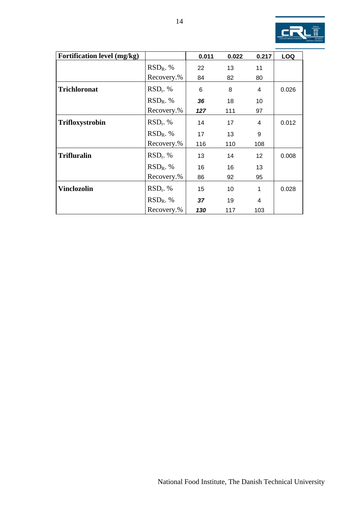

| <b>Fortification level (mg/kg)</b> |             | 0.011 | 0.022 | 0.217 | <b>LOQ</b> |
|------------------------------------|-------------|-------|-------|-------|------------|
|                                    | $RSD_R$ . % | 22    | 13    | 11    |            |
|                                    | Recovery.%  | 84    | 82    | 80    |            |
| <b>Trichloronat</b>                | $RSD_r$ . % | 6     | 8     | 4     | 0.026      |
|                                    | $RSD_R$ . % | 36    | 18    | 10    |            |
|                                    | Recovery.%  | 127   | 111   | 97    |            |
| <b>Trifloxystrobin</b>             | $RSD_r$ . % | 14    | 17    | 4     | 0.012      |
|                                    | $RSD_R$ . % | 17    | 13    | 9     |            |
|                                    | Recovery.%  | 116   | 110   | 108   |            |
| <b>Trifluralin</b>                 | $RSD_r$ . % | 13    | 14    | 12    | 0.008      |
|                                    | $RSD_R$ . % | 16    | 16    | 13    |            |
|                                    | Recovery.%  | 86    | 92    | 95    |            |
| <b>Vinclozolin</b>                 | $RSD_r$ . % | 15    | 10    | 1     | 0.028      |
|                                    | $RSD_R$ . % | 37    | 19    | 4     |            |
|                                    | Recovery.%  | 130   | 117   | 103   |            |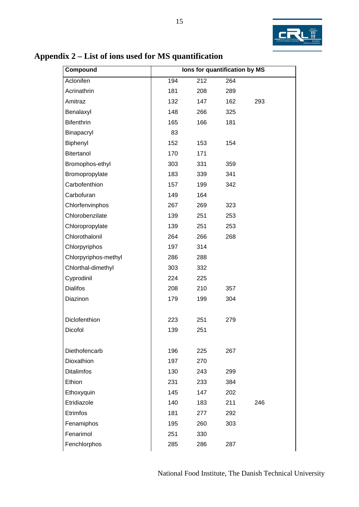

| Compound             |     | lons for quantification by MS |     |     |  |
|----------------------|-----|-------------------------------|-----|-----|--|
| Aclonifen            | 194 | 212                           | 264 |     |  |
| Acrinathrin          | 181 | 208                           | 289 |     |  |
| Amitraz              | 132 | 147                           | 162 | 293 |  |
| Benalaxyl            | 148 | 266                           | 325 |     |  |
| <b>Bifenthrin</b>    | 165 | 166                           | 181 |     |  |
| Binapacryl           | 83  |                               |     |     |  |
| Biphenyl             | 152 | 153                           | 154 |     |  |
| Bitertanol           | 170 | 171                           |     |     |  |
| Bromophos-ethyl      | 303 | 331                           | 359 |     |  |
| Bromopropylate       | 183 | 339                           | 341 |     |  |
| Carbofenthion        | 157 | 199                           | 342 |     |  |
| Carbofuran           | 149 | 164                           |     |     |  |
| Chlorfenvinphos      | 267 | 269                           | 323 |     |  |
| Chlorobenzilate      | 139 | 251                           | 253 |     |  |
| Chloropropylate      | 139 | 251                           | 253 |     |  |
| Chlorothalonil       | 264 | 266                           | 268 |     |  |
| Chlorpyriphos        | 197 | 314                           |     |     |  |
| Chlorpyriphos-methyl | 286 | 288                           |     |     |  |
| Chlorthal-dimethyl   | 303 | 332                           |     |     |  |
| Cyprodinil           | 224 | 225                           |     |     |  |
| <b>Dialifos</b>      | 208 | 210                           | 357 |     |  |
| Diazinon             | 179 | 199                           | 304 |     |  |
| Diclofenthion        | 223 | 251                           | 279 |     |  |
| Dicofol              | 139 | 251                           |     |     |  |
| Diethofencarb        | 196 | 225                           | 267 |     |  |
| Dioxathion           | 197 | 270                           |     |     |  |
| <b>Ditalimfos</b>    | 130 | 243                           | 299 |     |  |
| Ethion               | 231 | 233                           | 384 |     |  |
| Ethoxyquin           | 145 | 147                           | 202 |     |  |
| Etridiazole          | 140 | 183                           | 211 | 246 |  |
| Etrimfos             | 181 | 277                           | 292 |     |  |
| Fenamiphos           | 195 | 260                           | 303 |     |  |
| Fenarimol            | 251 | 330                           |     |     |  |
| Fenchlorphos         | 285 | 286                           | 287 |     |  |
|                      |     |                               |     |     |  |

## **Appendix 2 – List of ions used for MS quantification**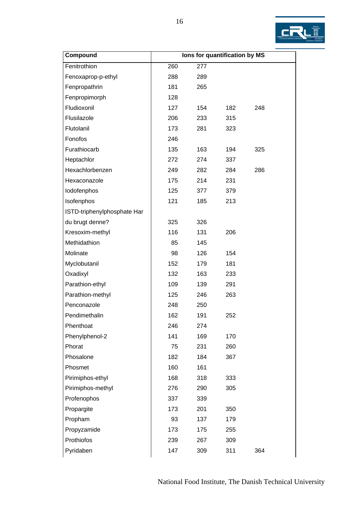

| Compound                    | lons for quantification by MS |     |     |     |  |
|-----------------------------|-------------------------------|-----|-----|-----|--|
| Fenitrothion                | 260                           | 277 |     |     |  |
| Fenoxaprop-p-ethyl          | 288                           | 289 |     |     |  |
| Fenpropathrin               | 181                           | 265 |     |     |  |
| Fenpropimorph               | 128                           |     |     |     |  |
| Fludioxonil                 | 127                           | 154 | 182 | 248 |  |
| Flusilazole                 | 206                           | 233 | 315 |     |  |
| Flutolanil                  | 173                           | 281 | 323 |     |  |
| Fonofos                     | 246                           |     |     |     |  |
| Furathiocarb                | 135                           | 163 | 194 | 325 |  |
| Heptachlor                  | 272                           | 274 | 337 |     |  |
| Hexachlorbenzen             | 249                           | 282 | 284 | 286 |  |
| Hexaconazole                | 175                           | 214 | 231 |     |  |
| lodofenphos                 | 125                           | 377 | 379 |     |  |
| Isofenphos                  | 121                           | 185 | 213 |     |  |
| ISTD-triphenylphosphate Har |                               |     |     |     |  |
| du brugt denne?             | 325                           | 326 |     |     |  |
| Kresoxim-methyl             | 116                           | 131 | 206 |     |  |
| Methidathion                | 85                            | 145 |     |     |  |
| Molinate                    | 98                            | 126 | 154 |     |  |
| Myclobutanil                | 152                           | 179 | 181 |     |  |
| Oxadixyl                    | 132                           | 163 | 233 |     |  |
| Parathion-ethyl             | 109                           | 139 | 291 |     |  |
| Parathion-methyl            | 125                           | 246 | 263 |     |  |
| Penconazole                 | 248                           | 250 |     |     |  |
| Pendimethalin               | 162                           | 191 | 252 |     |  |
| Phenthoat                   | 246                           | 274 |     |     |  |
| Phenylphenol-2              | 141                           | 169 | 170 |     |  |
| Phorat                      | 75                            | 231 | 260 |     |  |
| Phosalone                   | 182                           | 184 | 367 |     |  |
| Phosmet                     | 160                           | 161 |     |     |  |
| Pirimiphos-ethyl            | 168                           | 318 | 333 |     |  |
| Pirimiphos-methyl           | 276                           | 290 | 305 |     |  |
| Profenophos                 | 337                           | 339 |     |     |  |
| Propargite                  | 173                           | 201 | 350 |     |  |
| Propham                     | 93                            | 137 | 179 |     |  |
| Propyzamide                 | 173                           | 175 | 255 |     |  |
| Prothiofos                  | 239                           | 267 | 309 |     |  |
| Pyridaben                   | 147                           | 309 | 311 | 364 |  |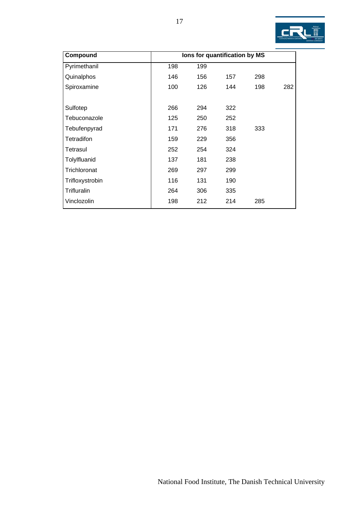

| Compound        |     | lons for quantification by MS |     |     |     |  |
|-----------------|-----|-------------------------------|-----|-----|-----|--|
| Pyrimethanil    | 198 | 199                           |     |     |     |  |
| Quinalphos      | 146 | 156                           | 157 | 298 |     |  |
| Spiroxamine     | 100 | 126                           | 144 | 198 | 282 |  |
|                 |     |                               |     |     |     |  |
| Sulfotep        | 266 | 294                           | 322 |     |     |  |
| Tebuconazole    | 125 | 250                           | 252 |     |     |  |
| Tebufenpyrad    | 171 | 276                           | 318 | 333 |     |  |
| Tetradifon      | 159 | 229                           | 356 |     |     |  |
| Tetrasul        | 252 | 254                           | 324 |     |     |  |
| Tolylfluanid    | 137 | 181                           | 238 |     |     |  |
| Trichloronat    | 269 | 297                           | 299 |     |     |  |
| Trifloxystrobin | 116 | 131                           | 190 |     |     |  |
| Trifluralin     | 264 | 306                           | 335 |     |     |  |
| Vinclozolin     | 198 | 212                           | 214 | 285 |     |  |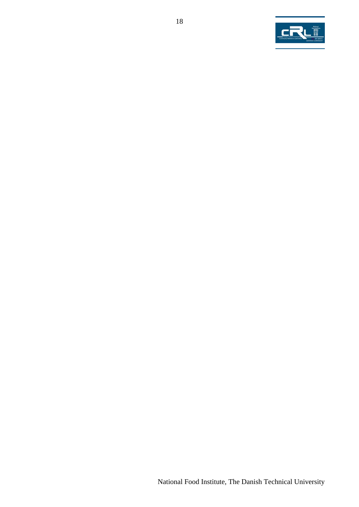